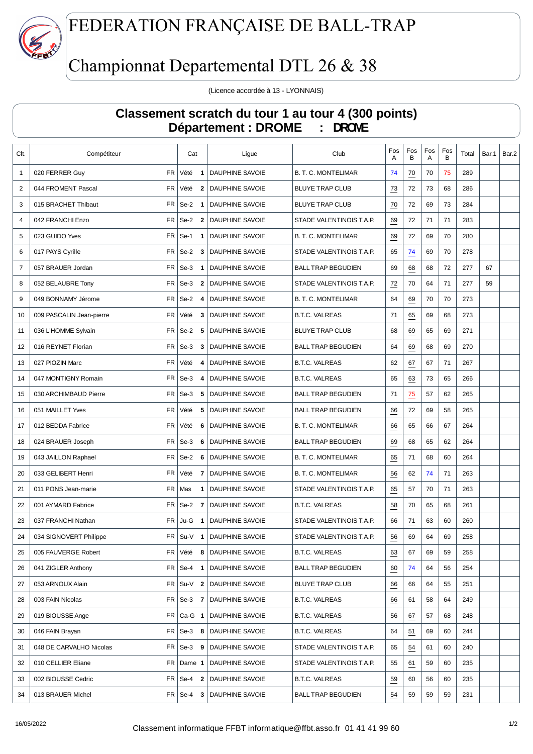

## FEDERATION FRANÇAISE DE BALL-TRAP

# Championnat Departemental DTL 26 & 38

(Licence accordée à 13 - LYONNAIS)

#### **Classement scratch du tour 1 au tour 4 (300 points) Département : DROME : DROME**

| Clt.           | Compétiteur                            | Cat                                | Ligue                  | Club                       | Fos<br>A         | Fos<br>B         | Fos<br>A | Fos<br>В | Total | Bar.1 | Bar.2 |
|----------------|----------------------------------------|------------------------------------|------------------------|----------------------------|------------------|------------------|----------|----------|-------|-------|-------|
| $\mathbf{1}$   | 020 FERRER Guy                         | FR Vété<br>$\overline{\mathbf{1}}$ | <b>DAUPHINE SAVOIE</b> | <b>B. T. C. MONTELIMAR</b> | 74               | 70               | 70       | 75       | 289   |       |       |
| 2              | FR  <br>044 FROMENT Pascal             | Vété<br>$\mathbf{2}$               | DAUPHINE SAVOIE        | <b>BLUYE TRAP CLUB</b>     | 73               | 72               | 73       | 68       | 286   |       |       |
| 3              | FR <sub>1</sub><br>015 BRACHET Thibaut | $Se-2$ 1                           | <b>DAUPHINE SAVOIE</b> | <b>BLUYE TRAP CLUB</b>     | 70               | 72               | 69       | 73       | 284   |       |       |
| 4              | 042 FRANCHI Enzo<br>FR                 | $Se-2$ 2                           | <b>DAUPHINE SAVOIE</b> | STADE VALENTINOIS T.A.P.   | 69               | 72               | 71       | 71       | 283   |       |       |
| 5              | FR.<br>023 GUIDO Yves                  | $Se-1$<br>$\mathbf{1}$             | <b>DAUPHINE SAVOIE</b> | <b>B. T. C. MONTELIMAR</b> | 69               | 72               | 69       | 70       | 280   |       |       |
| 6              | FR<br>017 PAYS Cyrille                 | $Se-2$<br>$\overline{\mathbf{3}}$  | <b>DAUPHINE SAVOIE</b> | STADE VALENTINOIS T.A.P.   | 65               | 74               | 69       | 70       | 278   |       |       |
| $\overline{7}$ | 057 BRAUER Jordan<br>FR                | $Se-3$<br>$\overline{\mathbf{1}}$  | DAUPHINE SAVOIE        | <b>BALL TRAP BEGUDIEN</b>  | 69               | 68               | 68       | 72       | 277   | 67    |       |
| 8              | 052 BELAUBRE Tony<br>FR                | $Se-3$<br>$\overline{\mathbf{2}}$  | <b>DAUPHINE SAVOIE</b> | STADE VALENTINOIS T.A.P.   | 72               | 70               | 64       | 71       | 277   | 59    |       |
| 9              | FR  <br>049 BONNAMY Jérome             | $Se-2$<br>4                        | DAUPHINE SAVOIE        | <b>B. T. C. MONTELIMAR</b> | 64               | 69               | 70       | 70       | 273   |       |       |
| 10             | FR<br>009 PASCALIN Jean-pierre         | Vété<br>3                          | <b>DAUPHINE SAVOIE</b> | <b>B.T.C. VALREAS</b>      | 71               | 65               | 69       | 68       | 273   |       |       |
| 11             | 036 L'HOMME Sylvain                    | $FR$ Se-2<br>5                     | <b>DAUPHINE SAVOIE</b> | <b>BLUYE TRAP CLUB</b>     | 68               | 69               | 65       | 69       | 271   |       |       |
| 12             | FR <sub>1</sub><br>016 REYNET Florian  | $Se-3$<br>3                        | <b>DAUPHINE SAVOIE</b> | <b>BALL TRAP BEGUDIEN</b>  | 64               | $\underline{69}$ | 68       | 69       | 270   |       |       |
| 13             | FR  <br>027 PIOZIN Marc                | Vété<br>4                          | DAUPHINE SAVOIE        | <b>B.T.C. VALREAS</b>      | 62               | $\underline{67}$ | 67       | 71       | 267   |       |       |
| 14             | FR  <br>047 MONTIGNY Romain            | $Se-3$<br>4                        | DAUPHINE SAVOIE        | <b>B.T.C. VALREAS</b>      | 65               | 63               | 73       | 65       | 266   |       |       |
| 15             | 030 ARCHIMBAUD Pierre<br>FR            | $Se-3$<br>5                        | <b>DAUPHINE SAVOIE</b> | <b>BALL TRAP BEGUDIEN</b>  | 71               | 75               | 57       | 62       | 265   |       |       |
| 16             | <b>FR</b><br>051 MAILLET Yves          | Vété<br>5                          | <b>DAUPHINE SAVOIE</b> | <b>BALL TRAP BEGUDIEN</b>  | 66               | 72               | 69       | 58       | 265   |       |       |
| 17             | 012 BEDDA Fabrice<br>FR                | Vété<br>6                          | DAUPHINE SAVOIE        | <b>B. T. C. MONTELIMAR</b> | 66               | 65               | 66       | 67       | 264   |       |       |
| 18             | 024 BRAUER Joseph<br>FR                | $Se-3$<br>6                        | DAUPHINE SAVOIE        | <b>BALL TRAP BEGUDIEN</b>  | 69               | 68               | 65       | 62       | 264   |       |       |
| 19             | FR  <br>043 JAILLON Raphael            | $Se-2$ 6                           | DAUPHINE SAVOIE        | <b>B. T. C. MONTELIMAR</b> | 65               | 71               | 68       | 60       | 264   |       |       |
| 20             | FR  <br>033 GELIBERT Henri             | Vété<br>- 7                        | DAUPHINE SAVOIE        | <b>B. T. C. MONTELIMAR</b> | 56               | 62               | 74       | 71       | 263   |       |       |
| 21             | 011 PONS Jean-marie<br>FR              | Mas<br>$\mathbf{1}$                | DAUPHINE SAVOIE        | STADE VALENTINOIS T.A.P.   | 65               | 57               | 70       | 71       | 263   |       |       |
| 22             | FR<br>001 AYMARD Fabrice               | Se-2 7                             | <b>DAUPHINE SAVOIE</b> | <b>B.T.C. VALREAS</b>      | 58               | 70               | 65       | 68       | 261   |       |       |
| 23             | 037 FRANCHI Nathan<br>FR               | Ju-G<br>$\blacksquare$             | <b>DAUPHINE SAVOIE</b> | STADE VALENTINOIS T.A.P.   | 66               | 71               | 63       | 60       | 260   |       |       |
| 24             | 034 SIGNOVERT Philippe                 | $FR$ Su-V 1                        | DAUPHINE SAVOIE        | STADE VALENTINOIS T.A.P.   | 56               | 69               | 64       | 69       | 258   |       |       |
| 25             | 005 FAUVERGE Robert<br>FR              | Vété<br>8                          | DAUPHINE SAVOIE        | <b>B.T.C. VALREAS</b>      | 63               | 67               | 69       | 59       | 258   |       |       |
| 26             | 041 ZIGLER Anthony<br>FR               | Se-4 1                             | DAUPHINE SAVOIE        | <b>BALL TRAP BEGUDIEN</b>  | $\underline{60}$ | 74               | 64       | 56       | 254   |       |       |
| 27             | 053 ARNOUX Alain<br>$FR \mid$          | $Su-V$ 2                           | <b>DAUPHINE SAVOIE</b> | <b>BLUYE TRAP CLUB</b>     | 66               | 66               | 64       | 55       | 251   |       |       |
| 28             | 003 FAIN Nicolas                       | $FR$ Se-3 7                        | <b>DAUPHINE SAVOIE</b> | <b>B.T.C. VALREAS</b>      | 66               | 61               | 58       | 64       | 249   |       |       |
| 29             | 019 BIOUSSE Ange                       | $FR$ Ca-G 1                        | DAUPHINE SAVOIE        | <b>B.T.C. VALREAS</b>      | 56               | 67               | 57       | 68       | 248   |       |       |
| 30             | 046 FAIN Brayan                        | $FR$ Se-3 8                        | <b>DAUPHINE SAVOIE</b> | <b>B.T.C. VALREAS</b>      | 64               | $\overline{51}$  | 69       | 60       | 244   |       |       |
| 31             | 048 DE CARVALHO Nicolas                | $FR$ Se-3 9                        | <b>DAUPHINE SAVOIE</b> | STADE VALENTINOIS T.A.P.   | 65               | $\frac{54}{5}$   | 61       | 60       | 240   |       |       |
| 32             | 010 CELLIER Eliane                     | $FR$ Dame 1                        | DAUPHINE SAVOIE        | STADE VALENTINOIS T.A.P.   | 55               | $\underline{61}$ | 59       | 60       | 235   |       |       |
| 33             | 002 BIOUSSE Cedric                     | $FR$ Se-4 2                        | DAUPHINE SAVOIE        | <b>B.T.C. VALREAS</b>      | $\frac{59}{2}$   | 60               | 56       | 60       | 235   |       |       |
| 34             | 013 BRAUER Michel                      | $FR$ Se-4 3                        | <b>DAUPHINE SAVOIE</b> | <b>BALL TRAP BEGUDIEN</b>  | $\frac{54}{5}$   | 59               | 59       | 59       | 231   |       |       |